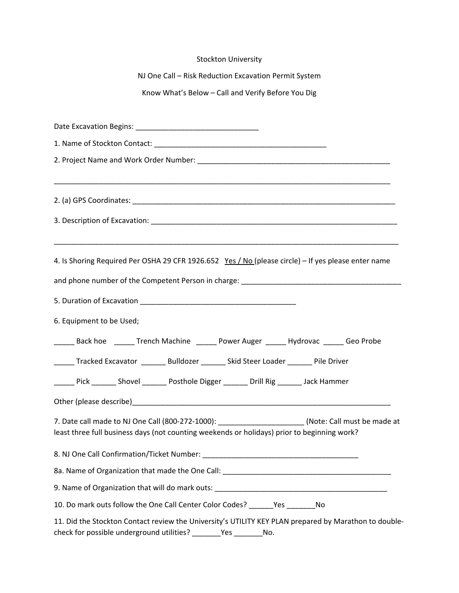| <b>Stockton University</b>                                                                                                                                                                          |
|-----------------------------------------------------------------------------------------------------------------------------------------------------------------------------------------------------|
| NJ One Call - Risk Reduction Excavation Permit System                                                                                                                                               |
| Know What's Below - Call and Verify Before You Dig                                                                                                                                                  |
|                                                                                                                                                                                                     |
|                                                                                                                                                                                                     |
|                                                                                                                                                                                                     |
|                                                                                                                                                                                                     |
|                                                                                                                                                                                                     |
|                                                                                                                                                                                                     |
| 4. Is Shoring Required Per OSHA 29 CFR 1926.652 Yes / No (please circle) - If yes please enter name                                                                                                 |
|                                                                                                                                                                                                     |
|                                                                                                                                                                                                     |
| 6. Equipment to be Used;                                                                                                                                                                            |
| ______ Back hoe ______ Trench Machine ______ Power Auger ______ Hydrovac ______ Geo Probe                                                                                                           |
| ______ Tracked Excavator ________ Bulldozer _______ Skid Steer Loader _______ Pile Driver                                                                                                           |
| Lack Hammer Muslem Digger Maril Rig Lack Hammer Marson Distribute Digger Lack Mammer                                                                                                                |
|                                                                                                                                                                                                     |
| 7. Date call made to NJ One Call (800-272-1000): ________________________(Note: Call must be made at<br>least three full business days (not counting weekends or holidays) prior to beginning work? |
|                                                                                                                                                                                                     |
|                                                                                                                                                                                                     |
| 9. Name of Organization that will do mark outs: _________________________________                                                                                                                   |
| 10. Do mark outs follow the One Call Center Color Codes? _______Yes _________No                                                                                                                     |
| 11. Did the Stockton Contact review the University's UTILITY KEY PLAN prepared by Marathon to double-<br>check for possible underground utilities? ________Yes __________No.                        |